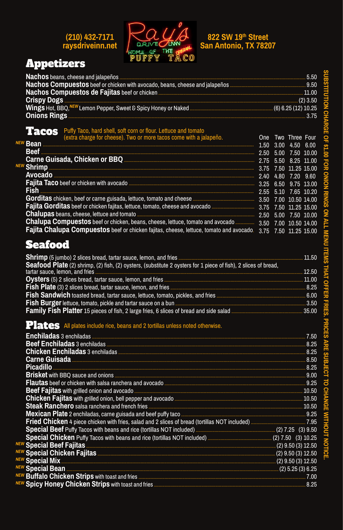# (210) 432-7171<br>raysdriveinn.net



# 822 SW 19th Street<br>San Antonio, TX 78207

# **Appetizers**

**NE** 

**NE** 

| Nachos Compuestos de Fajitas beef or chicken (2) 3.50<br>Crispy Dogs (2) 3.50<br>Wings Hot, BBQ, NEW Lemon Pepper, Sweet & Spicy Honey or Naked (6) 6.25 (12) 10.25 |  |                       |  |
|---------------------------------------------------------------------------------------------------------------------------------------------------------------------|--|-----------------------|--|
|                                                                                                                                                                     |  |                       |  |
| <b>Tacos</b> Puffy Taco, hard shell, soft corn or flour. Lettuce and tomato                                                                                         |  | One Two Three Four    |  |
| extra charge for cheese). Two or more tacos come with a jalapeño.                                                                                                   |  | 1.50 3.00 4.50 6.00   |  |
| <u>Beef 2.50</u> 5.00 7.50 10.00                                                                                                                                    |  |                       |  |
|                                                                                                                                                                     |  |                       |  |
|                                                                                                                                                                     |  |                       |  |
|                                                                                                                                                                     |  |                       |  |
|                                                                                                                                                                     |  | 6.50 9.75 13.00       |  |
|                                                                                                                                                                     |  | 2.55 5.10 7.65 10.20  |  |
|                                                                                                                                                                     |  | 7.00 10.50 14.00      |  |
| Fajita Gorditas beef or chicken fajitas, lettuce, tomato, cheese and avocado <b>Engineeration and any 19th</b> 3.75 7.50 11.25 15.00                                |  |                       |  |
|                                                                                                                                                                     |  |                       |  |
| Chalupa Compuestos beef or chicken, beans, cheese, lettuce, tomato and avocado  3.50 7.00 10.50 14.00                                                               |  |                       |  |
| <b>Fajita Chalupa Compuestos</b> beef or chicken fajitas, cheese, lettuce, tomato and avocado.                                                                      |  | 3.75 7.50 11.25 15.00 |  |
| <b>Seafood</b>                                                                                                                                                      |  |                       |  |
|                                                                                                                                                                     |  |                       |  |
|                                                                                                                                                                     |  |                       |  |
|                                                                                                                                                                     |  |                       |  |
|                                                                                                                                                                     |  |                       |  |
| Fish Plate (3) 2 slices bread, tartar sauce, lemon, and fries <b>Election Construction Construction</b> 8.25                                                        |  |                       |  |
|                                                                                                                                                                     |  |                       |  |
|                                                                                                                                                                     |  |                       |  |
|                                                                                                                                                                     |  |                       |  |

### Plates All plates include rice, beans and 2 tortillas unless noted otherwise.

|                                                                                                                                                                                                                                           | 7.50 |
|-------------------------------------------------------------------------------------------------------------------------------------------------------------------------------------------------------------------------------------------|------|
|                                                                                                                                                                                                                                           | 8.25 |
|                                                                                                                                                                                                                                           | 8.25 |
|                                                                                                                                                                                                                                           | 8.50 |
|                                                                                                                                                                                                                                           | 8.25 |
| <b>Brisket</b> with BBQ sauce and onions <b>with the contract of the contract of the contract of the contract of the contract of the contract of the contract of the contract of the contract of the contract of the contract of the </b> | 9.00 |
|                                                                                                                                                                                                                                           | 9.25 |
| <b>Deef Feiller</b> with will adjoin and accorded                                                                                                                                                                                         | 10 F |

CHANGE WITHOUT NOTICE.

|                                    | 10.50                  |
|------------------------------------|------------------------|
|                                    | 10.50                  |
|                                    |                        |
|                                    |                        |
|                                    |                        |
|                                    |                        |
|                                    | $(2)$ 9.50 (3) 12.50   |
|                                    | $(2)$ 9.50 $(3)$ 12.50 |
|                                    | $(2)$ 9.50 $(3)$ 12.50 |
| NEW Special Bean (2) 5.25 (3) 6.25 |                        |
|                                    | 7.00                   |
|                                    |                        |